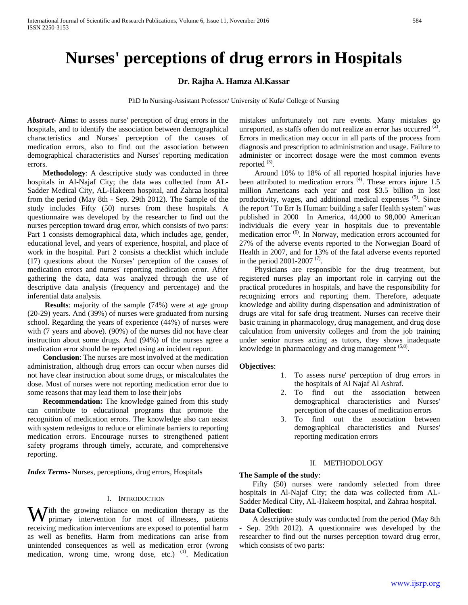# **Nurses' perceptions of drug errors in Hospitals**

## **Dr. Rajha A. Hamza Al.Kassar**

PhD In Nursing-Assistant Professor/ University of Kufa/ College of Nursing

*Abstract***- Aims:** to assess nurse' perception of drug errors in the hospitals, and to identify the association between demographical characteristics and Nurses' perception of the causes of medication errors, also to find out the association between demographical characteristics and Nurses' reporting medication errors.

 **Methodology**: A descriptive study was conducted in three hospitals in Al-Najaf City; the data was collected from AL-Sadder Medical City, AL-Hakeem hospital, and Zahraa hospital from the period (May 8th - Sep. 29th 2012). The Sample of the study includes Fifty (50) nurses from these hospitals. A questionnaire was developed by the researcher to find out the nurses perception toward drug error, which consists of two parts: Part 1 consists demographical data, which includes age, gender, educational level, and years of experience, hospital, and place of work in the hospital. Part 2 consists a checklist which include (17) questions about the Nurses' perception of the causes of medication errors and nurses' reporting medication error. After gathering the data, data was analyzed through the use of descriptive data analysis (frequency and percentage) and the inferential data analysis.

 **Results**: majority of the sample (74%) were at age group (20-29) years. And (39%) of nurses were graduated from nursing school. Regarding the years of experience (44%) of nurses were with (7 years and above). (90%) of the nurses did not have clear instruction about some drugs. And (94%) of the nurses agree a medication error should be reported using an incident report.

 **Conclusion**: The nurses are most involved at the medication administration, although drug errors can occur when nurses did not have clear instruction about some drugs, or miscalculates the dose. Most of nurses were not reporting medication error due to some reasons that may lead them to lose their jobs

 **Recommendation:** The knowledge gained from this study can contribute to educational programs that promote the recognition of medication errors. The knowledge also can assist with system redesigns to reduce or eliminate barriers to reporting medication errors. Encourage nurses to strengthened patient safety programs through timely, accurate, and comprehensive reporting.

*Index Terms*- Nurses, perceptions, drug errors, Hospitals

#### I. INTRODUCTION

With the growing reliance on medication therapy as the primary intervention for most of illnesses, patients primary intervention for most of illnesses, patients receiving medication interventions are exposed to potential harm as well as benefits. Harm from medications can arise from unintended consequences as well as medication error (wrong medication, wrong time, wrong dose, etc.) <sup>(1)</sup>. Medication

mistakes unfortunately not rare events. Many mistakes go unreported, as staffs often do not realize an error has occurred  $(2)$ . Errors in medication may occur in all parts of the process from diagnosis and prescription to administration and usage. Failure to administer or incorrect dosage were the most common events reported  $(3)$ .

 Around 10% to 18% of all reported hospital injuries have been attributed to medication errors  $^{(4)}$ . These errors injure 1.5 million Americans each year and cost \$3.5 billion in lost productivity, wages, and additional medical expenses (5). Since the report "To Err Is Human: building a safer Health system" was published in 2000 In America, 44,000 to 98,000 American individuals die every year in hospitals due to preventable medication error (6). In Norway, medication errors accounted for 27% of the adverse events reported to the Norwegian Board of Health in 2007, and for 13% of the fatal adverse events reported in the period 2001-2007  $(7)$ .

 Physicians are responsible for the drug treatment, but registered nurses play an important role in carrying out the practical procedures in hospitals, and have the responsibility for recognizing errors and reporting them. Therefore, adequate knowledge and ability during dispensation and administration of drugs are vital for safe drug treatment. Nurses can receive their basic training in pharmacology, drug management, and drug dose calculation from university colleges and from the job training under senior nurses acting as tutors, they shows inadequate knowledge in pharmacology and drug management <sup>(5,8)</sup>.

#### **Objectives**:

- 1. To assess nurse' perception of drug errors in the hospitals of Al Najaf Al Ashraf.
- 2. To find out the association between demographical characteristics and Nurses' perception of the causes of medication errors
- 3. To find out the association between demographical characteristics and Nurses' reporting medication errors

### II. METHODOLOGY

#### **The Sample of the study**:

 Fifty (50) nurses were randomly selected from three hospitals in Al-Najaf City; the data was collected from AL-Sadder Medical City, AL-Hakeem hospital, and Zahraa hospital. **Data Collection**:

 A descriptive study was conducted from the period (May 8th - Sep. 29th 2012). A questionnaire was developed by the researcher to find out the nurses perception toward drug error, which consists of two parts: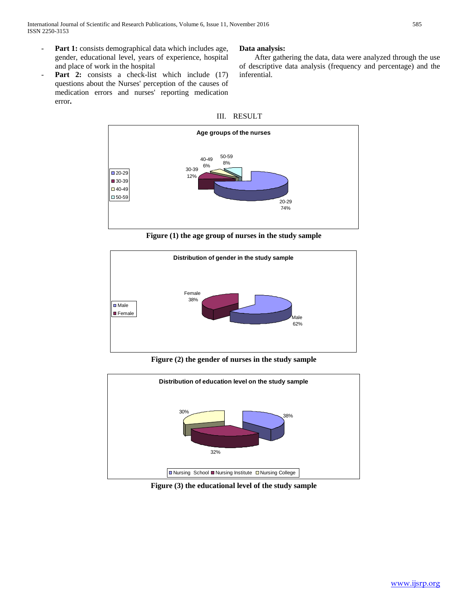- **Part 1:** consists demographical data which includes age, gender, educational level, years of experience, hospital and place of work in the hospital
- Part 2: consists a check-list which include (17) questions about the Nurses' perception of the causes of medication errors and nurses' reporting medication error**.**

## **Data analysis:**

 After gathering the data, data were analyzed through the use of descriptive data analysis (frequency and percentage) and the inferential.





**Figure (1) the age group of nurses in the study sample**



**Figure (2) the gender of nurses in the study sample**



**Figure (3) the educational level of the study sample**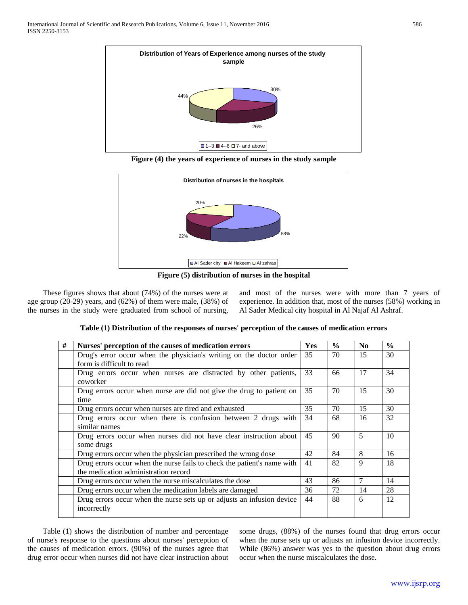

**Figure (4) the years of experience of nurses in the study sample**



**Figure (5) distribution of nurses in the hospital**

 These figures shows that about (74%) of the nurses were at age group (20-29) years, and (62%) of them were male, (38%) of the nurses in the study were graduated from school of nursing,

and most of the nurses were with more than 7 years of experience. In addition that, most of the nurses (58%) working in Al Sader Medical city hospital in Al Najaf Al Ashraf.

| # | Nurses' perception of the causes of medication errors                                                           | <b>Yes</b> | $\frac{0}{0}$ | No | $\frac{0}{0}$ |
|---|-----------------------------------------------------------------------------------------------------------------|------------|---------------|----|---------------|
|   | Drug's error occur when the physician's writing on the doctor order<br>form is difficult to read                | 35         | 70            | 15 | 30            |
|   | Drug errors occur when nurses are distracted by other patients,<br>coworker                                     |            | 66            | 17 | 34            |
|   | Drug errors occur when nurse are did not give the drug to patient on<br>time                                    |            | 70            | 15 | 30            |
|   | Drug errors occur when nurses are tired and exhausted                                                           | 35         | 70            | 15 | 30            |
|   | Drug errors occur when there is confusion between 2 drugs with<br>similar names                                 |            | 68            | 16 | 32            |
|   | Drug errors occur when nurses did not have clear instruction about<br>some drugs                                |            | 90            | 5  | 10            |
|   | Drug errors occur when the physician prescribed the wrong dose                                                  |            | 84            | 8  | 16            |
|   | Drug errors occur when the nurse fails to check the patient's name with<br>the medication administration record | 41         | 82            | 9  | 18            |
|   | Drug errors occur when the nurse miscalculates the dose                                                         |            | 86            | 7  | 14            |
|   | Drug errors occur when the medication labels are damaged                                                        |            | 72            | 14 | 28            |
|   | Drug errors occur when the nurse sets up or adjusts an infusion device<br>incorrectly                           | 44         | 88            | 6  | 12            |

 Table (1) shows the distribution of number and percentage of nurse's response to the questions about nurses' perception of the causes of medication errors. (90%) of the nurses agree that drug error occur when nurses did not have clear instruction about

some drugs, (88%) of the nurses found that drug errors occur when the nurse sets up or adjusts an infusion device incorrectly. While (86%) answer was yes to the question about drug errors occur when the nurse miscalculates the dose.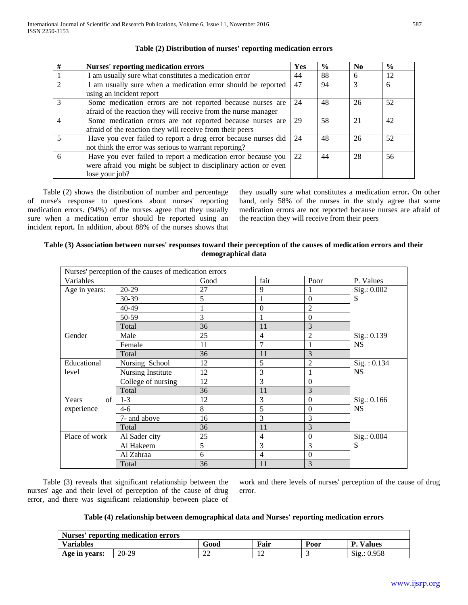| #              | <b>Nurses' reporting medication errors</b>                      | Yes | $\frac{6}{9}$ | $\mathbf{N}\mathbf{0}$ | $\frac{6}{9}$ |
|----------------|-----------------------------------------------------------------|-----|---------------|------------------------|---------------|
|                | I am usually sure what constitutes a medication error           | 44  | 88            | 6                      | 12            |
| $\mathcal{D}$  | I am usually sure when a medication error should be reported    | 47  | 94            | $\mathcal{R}$          | 6             |
|                | using an incident report                                        |     |               |                        |               |
| $\mathcal{E}$  | Some medication errors are not reported because nurses are      | 24  | 48            | 26                     | 52            |
|                | afraid of the reaction they will receive from the nurse manager |     |               |                        |               |
| $\overline{4}$ | Some medication errors are not reported because nurses are      | 29  | 58            | 21                     | 42            |
|                | afraid of the reaction they will receive from their peers       |     |               |                        |               |
|                | Have you ever failed to report a drug error because nurses did  | 24  | 48            | 26                     | 52            |
|                | not think the error was serious to warrant reporting?           |     |               |                        |               |
| -6             | Have you ever failed to report a medication error because you   | 22  | 44            | 28                     | 56            |
|                | were afraid you might be subject to disciplinary action or even |     |               |                        |               |
|                | lose your job?                                                  |     |               |                        |               |

## **Table (2) Distribution of nurses' reporting medication errors**

 Table (2) shows the distribution of number and percentage of nurse's response to questions about nurses' reporting medication errors. (94%) of the nurses agree that they usually sure when a medication error should be reported using an incident report**.** In addition, about 88% of the nurses shows that they usually sure what constitutes a medication error**.** On other hand, only 58% of the nurses in the study agree that some medication errors are not reported because nurses are afraid of the reaction they will receive from their peers

| Table (3) Association between nurses' responses toward their perception of the causes of medication errors and their |  |
|----------------------------------------------------------------------------------------------------------------------|--|
| demographical data                                                                                                   |  |

|               | Nurses' perception of the causes of medication errors |      |                  |                  |              |
|---------------|-------------------------------------------------------|------|------------------|------------------|--------------|
| Variables     |                                                       | Good | fair             | Poor             | P. Values    |
| Age in years: | 20-29                                                 | 27   | 9                | 1                | Sig.: 0.002  |
|               | 30-39                                                 | 5    | 1                | $\boldsymbol{0}$ | S            |
|               | 40-49                                                 |      | $\boldsymbol{0}$ | $\overline{2}$   |              |
|               | 50-59                                                 | 3    | 1                | $\boldsymbol{0}$ |              |
|               | Total                                                 | 36   | 11               | 3                |              |
| Gender        | Male                                                  | 25   | $\overline{4}$   | $\overline{2}$   | Sig.: 0.139  |
|               | Female                                                | 11   | 7                | 1                | <b>NS</b>    |
|               | Total                                                 | 36   | 11               | 3                |              |
| Educational   | Nursing School                                        | 12   | 5                | $\overline{2}$   | Sig. : 0.134 |
| level         | Nursing Institute                                     | 12   | 3                | 1                | <b>NS</b>    |
|               | College of nursing                                    | 12   | 3                | $\theta$         |              |
|               | Total                                                 | 36   | 11               | 3                |              |
| of<br>Years   | $1-3$                                                 | 12   | 3                | $\boldsymbol{0}$ | Sig.: 0.166  |
| experience    | $4-6$                                                 | 8    | 5                | $\boldsymbol{0}$ | <b>NS</b>    |
|               | 7- and above                                          | 16   | 3                | 3                |              |
|               | Total                                                 | 36   | 11               | 3                |              |
| Place of work | Al Sader city                                         | 25   | $\overline{4}$   | $\boldsymbol{0}$ | Sig.: 0.004  |
|               | Al Hakeem                                             | 5    | 3                | 3                | S            |
|               | Al Zahraa                                             | 6    | $\overline{4}$   | $\boldsymbol{0}$ |              |
|               | Total                                                 | 36   | 11               | 3                |              |

 Table (3) reveals that significant relationship between the nurses' age and their level of perception of the cause of drug error, and there was significant relationship between place of

work and there levels of nurses' perception of the cause of drug error.

## **Table (4) relationship between demographical data and Nurses' reporting medication errors**

| Nurses' reporting medication errors |       |           |             |      |                    |  |
|-------------------------------------|-------|-----------|-------------|------|--------------------|--|
| <b>Variables</b>                    |       | Good      | <b>Fair</b> | Poor | <b>Values</b><br>P |  |
| Age in years:                       | 20-29 | n c<br>∠∠ |             |      | Sig.: 0.958        |  |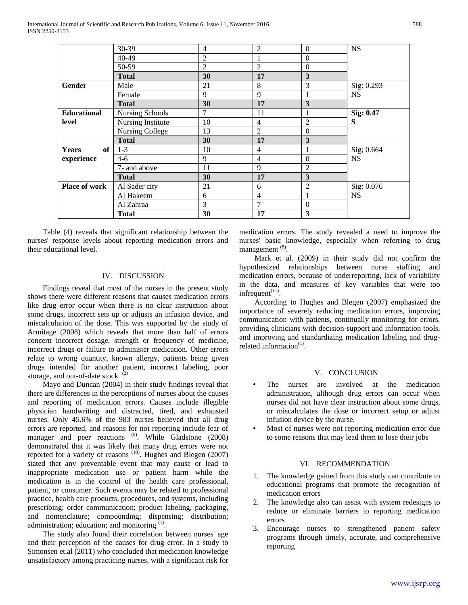|                      | 30-39                  | 4              | $\overline{2}$ | $\Omega$       | <b>NS</b>  |
|----------------------|------------------------|----------------|----------------|----------------|------------|
|                      | 40-49                  | 2              | 1              | $\theta$       |            |
|                      | 50-59                  | $\overline{2}$ | $\overline{2}$ | $\overline{0}$ |            |
|                      | <b>Total</b>           | 30             | 17             | 3              |            |
| Gender               | Male                   | 21             | 8              | 3              | Sig: 0.293 |
|                      | Female                 | 9              | 9              |                | <b>NS</b>  |
|                      | <b>Total</b>           | 30             | 17             | 3              |            |
| <b>Educational</b>   | <b>Nursing Schools</b> | 7              | 11             |                | Sig: 0.47  |
| level                | Nursing Institute      | 10             | 4              | $\mathfrak{2}$ | S          |
|                      | Nursing College        | 13             | $\overline{2}$ | $\theta$       |            |
|                      | <b>Total</b>           | 30             | 17             | 3              |            |
| of<br><b>Years</b>   | $1-3$                  | 10             | 4              | T              | Sig; 0.664 |
| experience           | $4-6$                  | 9              | $\overline{4}$ | $\mathbf{0}$   | <b>NS</b>  |
|                      | 7- and above           | 11             | 9              | $\overline{2}$ |            |
|                      | <b>Total</b>           | 30             | 17             | 3              |            |
| <b>Place of work</b> | Al Sader city          | 21             | 6              | $\overline{2}$ | Sig: 0.076 |
|                      | Al Hakeem              | 6              | $\overline{4}$ |                | <b>NS</b>  |
|                      | Al Zahraa              | 3              | 7              | $\theta$       |            |
|                      | <b>Total</b>           | 30             | 17             | 3              |            |

 Table (4) reveals that significant relationship between the nurses' response levels about reporting medication errors and their educational level.

## IV. DISCUSSION

 Findings reveal that most of the nurses in the present study shows there were different reasons that causes medication errors like drug error occur when there is no clear instruction about some drugs, incorrect sets up or adjusts an infusion device, and miscalculation of the dose. This was supported by the study of Armitage (2008) which reveals that more than half of errors concern incorrect dosage, strength or frequency of medicine, incorrect drugs or failure to administer medication. Other errors relate to wrong quantity, known allergy, patients being given drugs intended for another patient, incorrect labeling, poor storage, and out-of-date stock (2)

 Mayo and Duncan (2004) in their study findings reveal that there are differences in the perceptions of nurses about the causes and reporting of medication errors. Causes include illegible physician handwriting and distracted, tired, and exhausted nurses. Only 45.6% of the 983 nurses believed that all drug errors are reported, and reasons for not reporting include fear of manager and peer reactions <sup>(9)</sup>. While Gladstone (2008) demonstrated that it was likely that many drug errors were not reported for a variety of reasons  $(10)$ . Hughes and Blegen (2007) stated that any preventable event that may cause or lead to inappropriate medication use or patient harm while the medication is in the control of the health care professional, patient, or consumer. Such events may be related to professional practice, health care products, procedures, and systems, including prescribing; order communication; product labeling, packaging, and nomenclature; compounding; dispensing; distribution; administration; education; and monitoring  $(1)$ .

 The study also found their correlation between nurses' age and their perception of the causes for drug error. In a study to Simonsen et.al (2011) who concluded that medication knowledge unsatisfactory among practicing nurses, with a significant risk for medication errors. The study revealed a need to improve the nurses' basic knowledge, especially when referring to drug management (8).

 Mark et al. (2009) in their study did not confirm the hypothesized relationships between nurse staffing and medication errors, because of underreporting, lack of variability in the data, and measures of key variables that were too infrequent $(11)$ .

 According to Hughes and Blegen (2007) emphasized the importance of severely reducing medication errors, improving communication with patients, continually monitoring for errors, providing clinicians with decision-support and information tools, and improving and standardizing medication labeling and drugrelated information $<sup>(1)</sup>$ .</sup>

#### V. CONCLUSION

- The nurses are involved at the medication administration, although drug errors can occur when nurses did not have clear instruction about some drugs, or miscalculates the dose or incorrect setup or adjust infusion device by the nurse.
- Most of nurses were not reporting medication error due to some reasons that may lead them to lose their jobs

## VI. RECOMMENDATION

- 1. The knowledge gained from this study can contribute to educational programs that promote the recognition of medication errors
- The knowledge also can assist with system redesigns to reduce or eliminate barriers to reporting medication errors
- 3. Encourage nurses to strengthened patient safety programs through timely, accurate, and comprehensive reporting